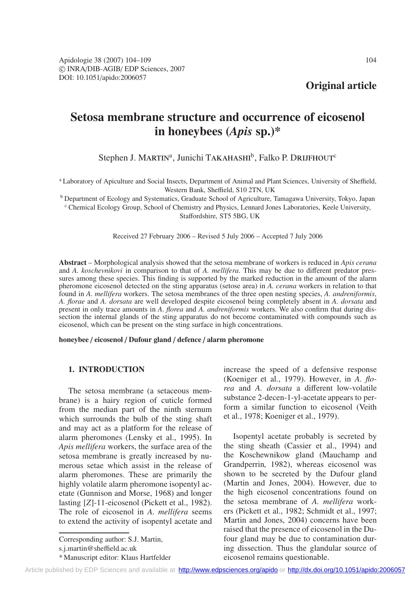**Original article**

# **Setosa membrane structure and occurrence of eicosenol in honeybees (***Apis* **sp.)\***

Stephen J. MARTIN<sup>a</sup>, Junichi TAKAHASHI<sup>b</sup>, Falko P. DRIJFHOUT<sup>c</sup>

<sup>a</sup> Laboratory of Apiculture and Social Insects, Department of Animal and Plant Sciences, University of Sheffield, Western Bank, Sheffield, S10 2TN, UK

<sup>b</sup> Department of Ecology and Systematics, Graduate School of Agriculture, Tamagawa University, Tokyo, Japan <sup>c</sup> Chemical Ecology Group, School of Chemistry and Physics, Lennard Jones Laboratories, Keele University, Staffordshire, ST5 5BG, UK

Received 27 February 2006 – Revised 5 July 2006 – Accepted 7 July 2006

**Abstract** – Morphological analysis showed that the setosa membrane of workers is reduced in *Apis cerana* and *A. koschevnikovi* in comparison to that of *A. mellifera*. This may be due to different predator pressures among these species. This finding is supported by the marked reduction in the amount of the alarm pheromone eicosenol detected on the sting apparatus (setose area) in *A. cerana* workers in relation to that found in *A. mellifera* workers. The setosa membranes of the three open nesting species, *A. andreniformis*, *A. florae* and *A. dorsata* are well developed despite eicosenol being completely absent in *A. dorsata* and present in only trace amounts in *A. florea* and *A. andreniformis* workers. We also confirm that during dissection the internal glands of the sting apparatus do not become contaminated with compounds such as eicosenol, which can be present on the sting surface in high concentrations.

**honeybee** / **eicosenol** / **Dufour gland** / **defence** / **alarm pheromone**

# **1. INTRODUCTION**

The setosa membrane (a setaceous membrane) is a hairy region of cuticle formed from the median part of the ninth sternum which surrounds the bulb of the sting shaft and may act as a platform for the release of alarm pheromones (Lensky et al., 1995). In *Apis mellifera* workers, the surface area of the setosa membrane is greatly increased by numerous setae which assist in the release of alarm pheromones. These are primarily the highly volatile alarm pheromone isopentyl acetate (Gunnison and Morse, 1968) and longer lasting [*Z*]-11-eicosenol (Pickett et al., 1982). The role of eicosenol in *A. mellifera* seems to extend the activity of isopentyl acetate and increase the speed of a defensive response (Koeniger et al., 1979). However, in *A. florea* and *A. dorsata* a different low-volatile substance 2-decen-1-yl-acetate appears to perform a similar function to eicosenol (Veith et al., 1978; Koeniger et al., 1979).

Isopentyl acetate probably is secreted by the sting sheath (Cassier et al., 1994) and the Koschewnikow gland (Mauchamp and Grandperrin, 1982), whereas eicosenol was shown to be secreted by the Dufour gland (Martin and Jones, 2004). However, due to the high eicosenol concentrations found on the setosa membrane of *A. mellifera* workers (Pickett et al., 1982; Schmidt et al., 1997; Martin and Jones, 2004) concerns have been raised that the presence of eicosenol in the Dufour gland may be due to contamination during dissection. Thus the glandular source of eicosenol remains questionable.

Corresponding author: S.J. Martin,

s.j.martin@sheffield.ac.uk

<sup>\*</sup> Manuscript editor: Klaus Hartfelder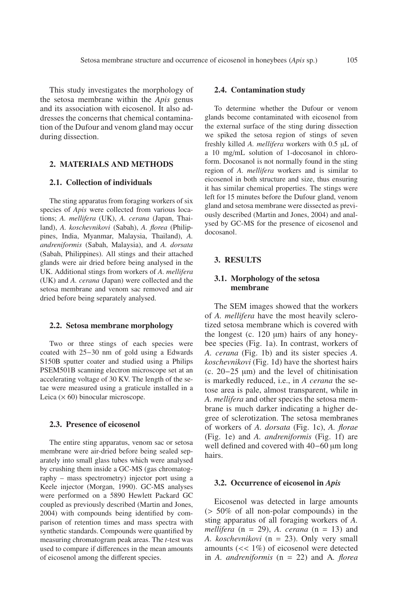This study investigates the morphology of the setosa membrane within the *Apis* genus and its association with eicosenol. It also addresses the concerns that chemical contamination of the Dufour and venom gland may occur during dissection.

## **2. MATERIALS AND METHODS**

## **2.1. Collection of individuals**

The sting apparatus from foraging workers of six species of *Apis* were collected from various locations; *A. mellifera* (UK), *A. cerana* (Japan, Thailand), *A. koschevnikovi* (Sabah), *A. florea* (Philippines, India, Myanmar, Malaysia, Thailand), *A. andreniformis* (Sabah, Malaysia), and *A. dorsata* (Sabah, Philippines). All stings and their attached glands were air dried before being analysed in the UK. Additional stings from workers of *A. mellifera* (UK) and *A. cerana* (Japan) were collected and the setosa membrane and venom sac removed and air dried before being separately analysed.

#### **2.2. Setosa membrane morphology**

Two or three stings of each species were coated with 25−30 nm of gold using a Edwards S150B sputter coater and studied using a Philips PSEM501B scanning electron microscope set at an accelerating voltage of 30 KV. The length of the setae were measured using a graticule installed in a Leica  $(x 60)$  binocular microscope.

# **2.3. Presence of eicosenol**

The entire sting apparatus, venom sac or setosa membrane were air-dried before being sealed separately into small glass tubes which were analysed by crushing them inside a GC-MS (gas chromatography – mass spectrometry) injector port using a Keele injector (Morgan, 1990). GC-MS analyses were performed on a 5890 Hewlett Packard GC coupled as previously described (Martin and Jones, 2004) with compounds being identified by comparison of retention times and mass spectra with synthetic standards. Compounds were quantified by measuring chromatogram peak areas. The *t*-test was used to compare if differences in the mean amounts of eicosenol among the different species.

# **2.4. Contamination study**

To determine whether the Dufour or venom glands become contaminated with eicosenol from the external surface of the sting during dissection we spiked the setosa region of stings of seven freshly killed *A. mellifera* workers with 0.5 µL of a 10 mg/mL solution of 1-docosanol in chloroform. Docosanol is not normally found in the sting region of *A. mellifera* workers and is similar to eicosenol in both structure and size, thus ensuring it has similar chemical properties. The stings were left for 15 minutes before the Dufour gland, venom gland and setosa membrane were dissected as previously described (Martin and Jones, 2004) and analysed by GC-MS for the presence of eicosenol and docosanol.

# **3. RESULTS**

## **3.1. Morphology of the setosa membrane**

The SEM images showed that the workers of *A. mellifera* have the most heavily sclerotized setosa membrane which is covered with the longest (c.  $120 \mu m$ ) hairs of any honeybee species (Fig. 1a). In contrast, workers of *A. cerana* (Fig. 1b) and its sister species *A. koschevnikovi* (Fig. 1d) have the shortest hairs (c. 20−25 µm) and the level of chitinisation is markedly reduced, i.e., in *A cerana* the setose area is pale, almost transparent, while in *A. mellifera* and other species the setosa membrane is much darker indicating a higher degree of sclerotization. The setosa membranes of workers of *A. dorsata* (Fig. 1c), *A. florae* (Fig. 1e) and *A. andreniformis* (Fig. 1f) are well defined and covered with 40−60 µm long hairs.

#### **3.2. Occurrence of eicosenol in** *Apis*

Eicosenol was detected in large amounts (> 50% of all non-polar compounds) in the sting apparatus of all foraging workers of *A. mellifera* (n = 29), *A. cerana* (n = 13) and *A. koschevnikovi* (n = 23). Only very small amounts (<< 1%) of eicosenol were detected in *A. andreniformis* (n = 22) and A*. florea*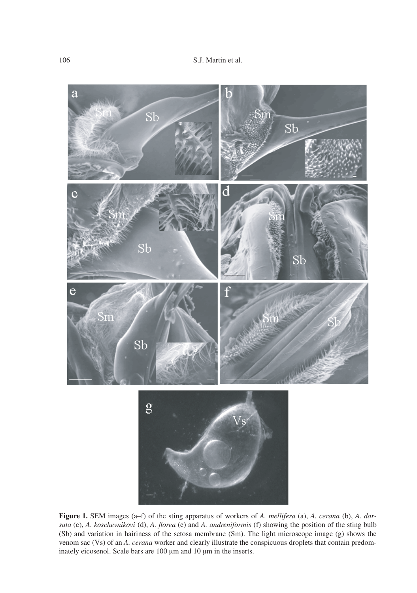

**Figure 1.** SEM images (a–f) of the sting apparatus of workers of *A. mellifera* (a), *A. cerana* (b), *A. dorsata* (c), *A. koschevnikovi* (d), *A. florea* (e) and *A. andreniformis* (f) showing the position of the sting bulb (Sb) and variation in hairiness of the setosa membrane (Sm). The light microscope image (g) shows the venom sac (Vs) of an *A. cerana* worker and clearly illustrate the conspicuous droplets that contain predominately eicosenol. Scale bars are 100  $\mu$ m and 10  $\mu$ m in the inserts.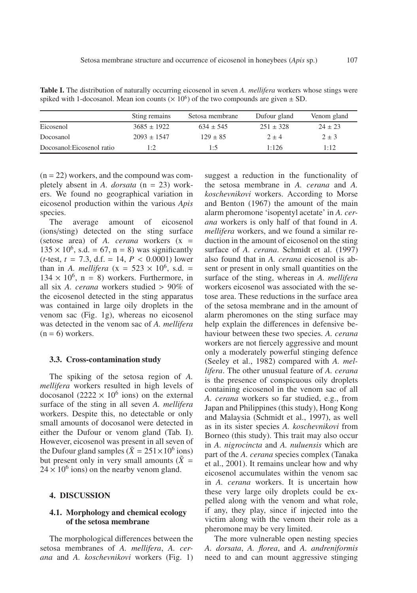**Table I.** The distribution of naturally occurring eicosenol in seven *A. mellifera* workers whose stings were spiked with 1-docosanol. Mean ion counts ( $\times$  10<sup>6</sup>) of the two compounds are given  $\pm$  SD.

|                            | Sting remains   | Setosa membrane | Dufour gland  | Venom gland |
|----------------------------|-----------------|-----------------|---------------|-------------|
| Eicosenol                  | $3685 \pm 1922$ | $634 \pm 545$   | $251 \pm 328$ | $24 \pm 23$ |
| Docosanol                  | $2093 + 1547$   | $129 \pm 85$    | $2 + 4$       | $2 \pm 3$   |
| Docosanol: Eicosenol ratio | 1:2             | 1:5             | 1:126         | 1:12        |

 $(n = 22)$  workers, and the compound was completely absent in *A. dorsata* (n = 23) workers. We found no geographical variation in eicosenol production within the various *Apis* species.

The average amount of eicosenol (ions/sting) detected on the sting surface (setose area) of *A. cerana* workers (x =  $135 \times 10^6$ , s.d. = 67, n = 8) was significantly  $(t$ -test,  $t = 7.3$ , d.f. = 14,  $P < 0.0001$ ) lower than in *A. mellifera* ( $x = 523 \times 10^6$ , s.d. =  $134 \times 10^6$ , n = 8) workers. Furthermore, in all six *A. cerana* workers studied > 90% of the eicosenol detected in the sting apparatus was contained in large oily droplets in the venom sac (Fig. 1g), whereas no eicosenol was detected in the venom sac of *A. mellifera*  $(n = 6)$  workers.

### **3.3. Cross-contamination study**

The spiking of the setosa region of *A. mellifera* workers resulted in high levels of docosanol (2222  $\times$  10<sup>6</sup> ions) on the external surface of the sting in all seven *A. mellifera* workers. Despite this, no detectable or only small amounts of docosanol were detected in either the Dufour or venom gland (Tab. I). However, eicosenol was present in all seven of the Dufour gland samples ( $\bar{X} = 251 \times 10^6$  ions) but present only in very small amounts  $(\bar{X} =$  $24 \times 10^6$  ions) on the nearby venom gland.

## **4. DISCUSSION**

# **4.1. Morphology and chemical ecology of the setosa membrane**

The morphological differences between the setosa membranes of *A. mellifera*, *A. cerana* and *A. koschevnikovi* workers (Fig. 1) suggest a reduction in the functionality of the setosa membrane in *A. cerana* and *A. koschevnikovi* workers. According to Morse and Benton (1967) the amount of the main alarm pheromone 'isopentyl acetate' in *A. cerana* workers is only half of that found in *A. mellifera* workers, and we found a similar reduction in the amount of eicosenol on the sting surface of *A. cerana*. Schmidt et al. (1997) also found that in *A. cerana* eicosenol is absent or present in only small quantities on the surface of the sting, whereas in *A. mellifera* workers eicosenol was associated with the setose area. These reductions in the surface area of the setosa membrane and in the amount of alarm pheromones on the sting surface may help explain the differences in defensive behaviour between these two species. *A. cerana* workers are not fiercely aggressive and mount only a moderately powerful stinging defence (Seeley et al., 1982) compared with *A. mellifera*. The other unusual feature of *A. cerana* is the presence of conspicuous oily droplets containing eicosenol in the venom sac of all *A. cerana* workers so far studied, e.g., from Japan and Philippines (this study), Hong Kong and Malaysia (Schmidt et al., 1997), as well as in its sister species *A. koschevnikovi* from Borneo (this study). This trait may also occur in *A. nigrocincta* and *A. nuluensis* which are part of the *A. cerana* species complex (Tanaka et al., 2001). It remains unclear how and why eicosenol accumulates within the venom sac in *A. cerana* workers. It is uncertain how these very large oily droplets could be expelled along with the venom and what role, if any, they play, since if injected into the victim along with the venom their role as a pheromone may be very limited.

The more vulnerable open nesting species *A. dorsata*, *A. florea*, and *A. andreniformis* need to and can mount aggressive stinging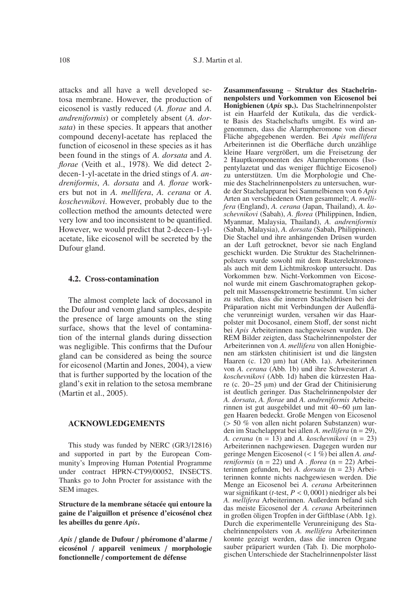attacks and all have a well developed setosa membrane. However, the production of eicosenol is vastly reduced (*A. florae* and *A. andreniformis*) or completely absent (*A. dorsata*) in these species. It appears that another compound decenyl-acetate has replaced the function of eicosenol in these species as it has been found in the stings of *A. dorsata* and *A. florae* (Veith et al., 1978). We did detect 2 decen-1-yl-acetate in the dried stings of *A. andreniformis*, *A. dorsata* and *A. florae* workers but not in *A. mellifera*, *A. cerana* or *A. koschevnikovi*. However, probably due to the collection method the amounts detected were very low and too inconsistent to be quantified. However, we would predict that 2-decen-1-ylacetate, like eicosenol will be secreted by the Dufour gland.

## **4.2. Cross-contamination**

The almost complete lack of docosanol in the Dufour and venom gland samples, despite the presence of large amounts on the sting surface, shows that the level of contamination of the internal glands during dissection was negligible. This confirms that the Dufour gland can be considered as being the source for eicosenol (Martin and Jones, 2004), a view that is further supported by the location of the gland's exit in relation to the setosa membrane (Martin et al., 2005).

# **ACKNOWLEDGEMENTS**

This study was funded by NERC (GR3/12816) and supported in part by the European Community's Improving Human Potential Programme under contract HPRN-CT99/00052, INSECTS. Thanks go to John Procter for assistance with the SEM images.

**Structure de la membrane sétacée qui entoure la gaine de l'aiguillon et présence d'eicosénol chez les abeilles du genre** *Apis***.**

*Apis* / **glande de Dufour** / **phéromone d'alarme** / **eicosénol** / **appareil venimeux** / **morphologie fonctionnelle** / **comportement de défense**

**Zusammenfassung** – **Struktur des Stachelrinnenpolsters und Vorkommen von Eicosenol bei Honigbienen (***Apis* **sp.).** Das Stachelrinnenpolster ist ein Haarfeld der Kutikula, das die verdickte Basis des Stachelschafts umgibt. Es wird angenommen, dass die Alarmpheromone von dieser Fläche abgegebenen werden. Bei *Apis mellifera* Arbeiterinnen ist die Oberfläche durch unzählige kleine Haare vergrößert, um die Freisetzung der 2 Hauptkomponenten des Alarmpheromons (Isopentylazetat und das weniger flüchtige Eicosenol) zu unterstützen. Um die Morphologie und Chemie des Stachelrinnenpolsters zu untersuchen, wurde der Stachelapparat bei Sammelbienen von 6 *Apis* Arten an verschiedenen Orten gesammelt; *A. mellifera* (England), *A. cerana* (Japan, Thailand), *A. koschevnikovi* (Sabah), *A. florea* (Philippinen, Indien, Myanmar, Malaysia, Thailand), *A. andreniformis* (Sabah, Malaysia), *A. dorsata* (Sabah, Philippinen). Die Stachel und ihre anhängenden Drüsen wurden an der Luft getrocknet, bevor sie nach England geschickt wurden. Die Struktur des Stachelrinnenpolsters wurde sowohl mit dem Rasterelektronenals auch mit dem Lichtmikroskop untersucht. Das Vorkommen bzw. Nicht-Vorkommen von Eicosenol wurde mit einem Gaschromatographen gekoppelt mit Massenspektrometrie bestimmt. Um sicher zu stellen, dass die inneren Stacheldrüsen bei der Präparation nicht mit Verbindungen der Außenfläche verunreinigt wurden, versahen wir das Haarpolster mit Docosanol, einem Stoff, der sonst nicht bei *Apis* Arbeiterinnen nachgewiesen wurden. Die REM Bilder zeigten, dass Stachelrinnenpolster der Arbeiterinnen von *A. mellifera* von allen Honigbienen am stärksten chitinisiert ist und die längsten Haaren (c. 120 µm) hat (Abb. 1a). Arbeiterinnen von *A. cerana* (Abb. 1b) und ihre Schwesterart *A. koschevnikovi* (Abb. 1d) haben die kürzesten Haare (c. 20−25 µm) und der Grad der Chitinisierung ist deutlich geringer. Das Stachelrinnenpolster der *A. dorsata*, *A. florae* and *A. andreniformis* Arbeiterinnen ist gut ausgebildet und mit 40−60 µm langen Haaren bedeckt. Große Mengen von Eicosenol (> 50 % von allen nicht polaren Substanzen) wurden im Stachelapprat bei allen *A. mellifera* (n = 29), *A. cerana* (n = 13) and *A. koschevnikovi* (n = 23) Arbeiterinnen nachgewiesen. Dagegen wurden nur geringe Mengen Eicosenol (< 1 %) bei allen *A. andreniformis* ( $n = 22$ ) und A *. florea* ( $n = 22$ ) Arbeiterinnen gefunden, bei *A. dorsata* (n = 23) Arbeiterinnen konnte nichts nachgewiesen werden. Die Menge an Eicosenol bei *A. cerana* Arbeiterinnen war signifikant (*t*-test, *P* < 0, 0001) niedriger als bei *A. mellifera* Arbeiterinnen. Außerdem befand sich das meiste Eicosenol der *A. cerana* Arbeiterinnen in großen öligen Tropfen in der Giftblase (Abb. 1g). Durch die experimentelle Verunreinigung des Stachelrinnenpolsters von *A. mellifera* Arbeiterinnen konnte gezeigt werden, dass die inneren Organe sauber präpariert wurden (Tab. I). Die morphologischen Unterschiede der Stachelrinnenpolster lässt